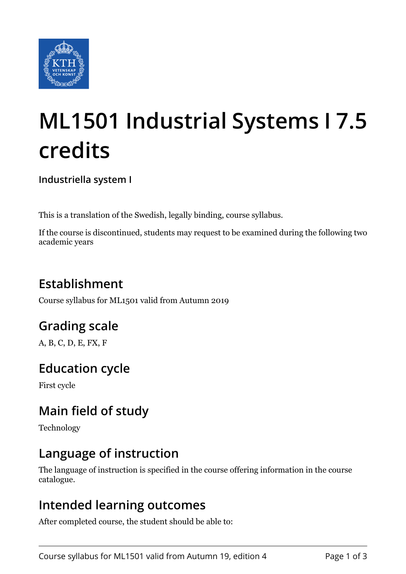

# **ML1501 Industrial Systems I 7.5 credits**

**Industriella system I**

This is a translation of the Swedish, legally binding, course syllabus.

If the course is discontinued, students may request to be examined during the following two academic years

# **Establishment**

Course syllabus for ML1501 valid from Autumn 2019

# **Grading scale**

A, B, C, D, E, FX, F

## **Education cycle**

First cycle

# **Main field of study**

Technology

## **Language of instruction**

The language of instruction is specified in the course offering information in the course catalogue.

#### **Intended learning outcomes**

After completed course, the student should be able to: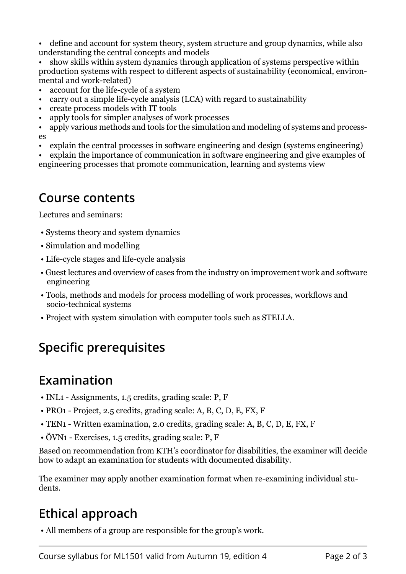• define and account for system theory, system structure and group dynamics, while also understanding the central concepts and models

• show skills within system dynamics through application of systems perspective within production systems with respect to different aspects of sustainability (economical, environmental and work-related)

- account for the life-cycle of a system
- carry out a simple life-cycle analysis (LCA) with regard to sustainability
- create process models with IT tools
- apply tools for simpler analyses of work processes
- apply various methods and tools for the simulation and modeling of systems and processes
- explain the central processes in software engineering and design (systems engineering)

explain the importance of communication in software engineering and give examples of engineering processes that promote communication, learning and systems view

#### **Course contents**

Lectures and seminars:

- Systems theory and system dynamics
- Simulation and modelling
- Life-cycle stages and life-cycle analysis
- Guest lectures and overview of cases from the industry on improvement work and software engineering
- Tools, methods and models for process modelling of work processes, workflows and socio-technical systems
- Project with system simulation with computer tools such as STELLA.

# **Specific prerequisites**

## **Examination**

- INL1 Assignments, 1.5 credits, grading scale: P, F
- PRO1 Project, 2.5 credits, grading scale: A, B, C, D, E, FX, F
- TEN1 Written examination, 2.0 credits, grading scale: A, B, C, D, E, FX, F
- ÖVN1 Exercises, 1.5 credits, grading scale: P, F

Based on recommendation from KTH's coordinator for disabilities, the examiner will decide how to adapt an examination for students with documented disability.

The examiner may apply another examination format when re-examining individual students.

## **Ethical approach**

• All members of a group are responsible for the group's work.